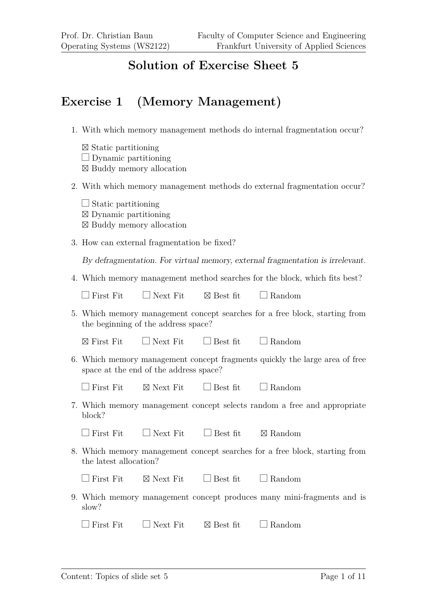#### **Solution of Exercise Sheet 5**

#### **Exercise 1 (Memory Management)**

- 1. With which memory management methods do internal fragmentation occur?
	- ⊠ Static partitioning  $\Box$  Dynamic partitioning ⊠ Buddy memory allocation
- 2. With which memory management methods do external fragmentation occur?
	- $\Box$  Static partitioning ⊠ Dynamic partitioning ⊠ Buddy memory allocation
- 3. How can external fragmentation be fixed?

By defragmentation. For virtual memory, external fragmentation is irrelevant.

4. Which memory management method searches for the block, which fits best?

|  | $\Box$ First Fit | $\Box$ Next Fit | $\boxtimes$ Best fit | $\Box$ Random |
|--|------------------|-----------------|----------------------|---------------|
|--|------------------|-----------------|----------------------|---------------|

5. Which memory management concept searches for a free block, starting from the beginning of the address space?

 $\boxtimes$  First Fit  $\Box$  Next Fit  $\Box$  Best fit  $\Box$  Random

6. Which memory management concept fragments quickly the large area of free space at the end of the address space?

 $\Box$  First Fit  $\Box$  Next Fit  $\Box$  Best fit  $\Box$  Random

7. Which memory management concept selects random a free and appropriate block?

| $\Box$ First Fit | $\Box$ Next Fit | $\Box$ Best fit | $\boxtimes$ Random |
|------------------|-----------------|-----------------|--------------------|
|                  |                 |                 |                    |

8. Which memory management concept searches for a free block, starting from the latest allocation?

|  | $\Box$ First Fit | $\boxtimes$ Next Fit | $\Box$ Best fit | $\Box$ Random |
|--|------------------|----------------------|-----------------|---------------|
|--|------------------|----------------------|-----------------|---------------|

9. Which memory management concept produces many mini-fragments and is slow?

| $\Box$ First Fit | $\Box$ Next Fit | $\boxtimes$ Best fit | $\Box$ Random |
|------------------|-----------------|----------------------|---------------|
|                  |                 |                      |               |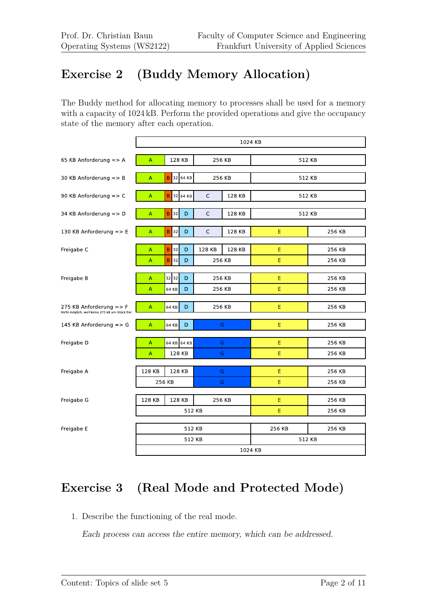## **Exercise 2 (Buddy Memory Allocation)**

The Buddy method for allocating memory to processes shall be used for a memory with a capacity of  $1024$  kB. Perform the provided operations and give the occupancy state of the memory after each operation.

|                                                                                      |        |                   |          |        | 1024 KB |        |        |
|--------------------------------------------------------------------------------------|--------|-------------------|----------|--------|---------|--------|--------|
| 65 KB Anforderung => A                                                               | А      | 128 KB            |          | 256 KB |         | 512 KB |        |
| 30 KB Anforderung $\equiv$ > B                                                       | А      | B                 | 32 64 KB | 256 KB |         | 512 KB |        |
| 90 KB Anforderung => C                                                               | Α      | B                 | 32 64 KB | C      | 128 KB  | 512 KB |        |
| 34 KB Anforderung $\Rightarrow$ D                                                    | A      | $\mathsf B$<br>32 | D        | C      | 128 KB  | 512 KB |        |
| 130 KB Anforderung => E                                                              | A      | <b>B</b> 32       | D        | C      | 128 KB  | E      | 256 KB |
| Freigabe C                                                                           | A      | $\sf B$<br>32     | D        | 128 KB | 128 KB  | E      | 256 KB |
|                                                                                      | Α      | B<br>32           | D        | 256 KB |         | E      | 256 KB |
| Freigabe B                                                                           | A      | 3232              | D        | 256 KB |         | Е      | 256 KB |
|                                                                                      | А      | 64 KB             | D        | 256 KB |         | E      | 256 KB |
| 275 KB Anforderung $\Rightarrow$ F<br>Nicht möglich, weil keine 275 kB am Stück frei | A      | 64 KB             | D        | 256 KB |         | E      | 256 KB |
| 145 KB Anforderung $\Rightarrow$ G                                                   | A      | 64 KB             | D        | G      |         | E      | 256 KB |
| Freigabe D                                                                           | A      | 64 KB 64 KB       |          | G      |         | Е      | 256 KB |
|                                                                                      | A      | 128 KB            |          | G      |         | E      | 256 KB |
| Freigabe A                                                                           | 128 KB | 128 KB            |          | G      |         | E      | 256 KB |
|                                                                                      |        | 256 KB            |          | G      |         | E      | 256 KB |
| Freigabe G                                                                           | 128 KB | 128 KB            |          | 256 KB |         | E      | 256 KB |
|                                                                                      |        |                   | 512 KB   |        |         | E      | 256 KB |
| Freigabe E                                                                           |        |                   | 512 KB   |        |         | 256 KB | 256 KB |
|                                                                                      |        |                   | 512 KB   |        |         | 512 KB |        |
|                                                                                      |        |                   |          |        | 1024 KB |        |        |

# **Exercise 3 (Real Mode and Protected Mode)**

1. Describe the functioning of the real mode.

Each process can access the entire memory, which can be addressed.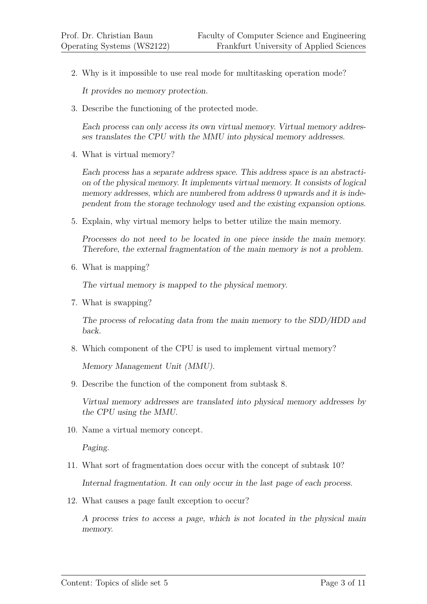2. Why is it impossible to use real mode for multitasking operation mode?

It provides no memory protection.

3. Describe the functioning of the protected mode.

Each process can only access its own virtual memory. Virtual memory addresses translates the CPU with the MMU into physical memory addresses.

4. What is virtual memory?

Each process has a separate address space. This address space is an abstraction of the physical memory. It implements virtual memory. It consists of logical memory addresses, which are numbered from address 0 upwards and it is independent from the storage technology used and the existing expansion options.

5. Explain, why virtual memory helps to better utilize the main memory.

Processes do not need to be located in one piece inside the main memory. Therefore, the external fragmentation of the main memory is not a problem.

6. What is mapping?

The virtual memory is mapped to the physical memory.

7. What is swapping?

The process of relocating data from the main memory to the SDD/HDD and back.

8. Which component of the CPU is used to implement virtual memory?

Memory Management Unit (MMU).

9. Describe the function of the component from subtask 8.

Virtual memory addresses are translated into physical memory addresses by the CPU using the MMU.

10. Name a virtual memory concept.

Paging.

11. What sort of fragmentation does occur with the concept of subtask 10?

Internal fragmentation. It can only occur in the last page of each process.

12. What causes a page fault exception to occur?

A process tries to access a page, which is not located in the physical main memory.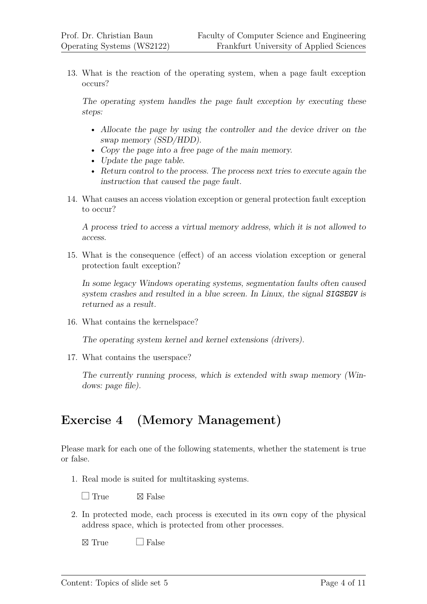13. What is the reaction of the operating system, when a page fault exception occurs?

The operating system handles the page fault exception by executing these steps:

- Allocate the page by using the controller and the device driver on the swap memory (SSD/HDD).
- Copy the page into a free page of the main memory.
- Update the page table.
- Return control to the process. The process next tries to execute again the instruction that caused the page fault.
- 14. What causes an access violation exception or general protection fault exception to occur?

A process tried to access a virtual memory address, which it is not allowed to access.

15. What is the consequence (effect) of an access violation exception or general protection fault exception?

In some legacy Windows operating systems, segmentation faults often caused system crashes and resulted in a blue screen. In Linux, the signal SIGSEGV is returned as a result.

16. What contains the kernelspace?

The operating system kernel and kernel extensions (drivers).

17. What contains the userspace?

The currently running process, which is extended with swap memory (Windows: page file).

### **Exercise 4 (Memory Management)**

Please mark for each one of the following statements, whether the statement is true or false.

1. Real mode is suited for multitasking systems.

 $\Box$  True  $\boxtimes$  False

2. In protected mode, each process is executed in its own copy of the physical address space, which is protected from other processes.

 $\boxtimes$  True  $\Box$  False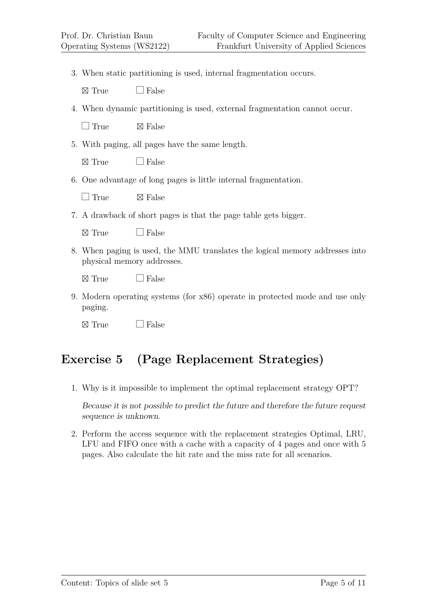3. When static partitioning is used, internal fragmentation occurs.

 $\boxtimes$  True  $\Box$  False

4. When dynamic partitioning is used, external fragmentation cannot occur.

 $\Box$  True  $\boxtimes$  False

5. With paging, all pages have the same length.

 $\boxtimes$  True  $\Box$  False

6. One advantage of long pages is little internal fragmentation.

 $\Box$  True  $\nabla$  False

7. A drawback of short pages is that the page table gets bigger.

 $\boxtimes$  True  $\Box$  False

8. When paging is used, the MMU translates the logical memory addresses into physical memory addresses.

 $\boxtimes$  True  $\Box$  False

9. Modern operating systems (for x86) operate in protected mode and use only paging.

 $\boxtimes$  True  $\Box$  False

### **Exercise 5 (Page Replacement Strategies)**

1. Why is it impossible to implement the optimal replacement strategy OPT?

Because it is not possible to predict the future and therefore the future request sequence is unknown.

2. Perform the access sequence with the replacement strategies Optimal, LRU, LFU and FIFO once with a cache with a capacity of 4 pages and once with 5 pages. Also calculate the hit rate and the miss rate for all scenarios.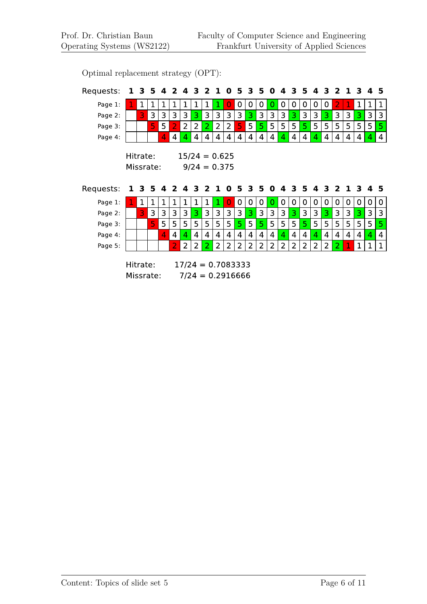Optimal replacement strategy (OPT):

| Requests: | 1                     | 3.          | 5            | 4    | $\mathbf{2}$   | 4              | 3              | 2              | 1              | 0                                 | 5           | 3              | 5              | $\mathbf 0$    | 4 | 3              | 5              | 4              | 3              | $\mathbf{2}$   | $\mathbf 1$ | 3              | 4                       | 5              |
|-----------|-----------------------|-------------|--------------|------|----------------|----------------|----------------|----------------|----------------|-----------------------------------|-------------|----------------|----------------|----------------|---|----------------|----------------|----------------|----------------|----------------|-------------|----------------|-------------------------|----------------|
| Page 1:   |                       | $\mathbf 1$ | $\mathbf 1$  | 1    | 1              | 1              | $\mathbf 1$    | $\mathbf{1}$   | 1              | 0                                 | $\mathbf 0$ | $\mathbf 0$    | 0              | 0              | 0 | 0              | 0              | $\mathbf 0$    | 0              | $\overline{2}$ | 1           | $\mathbf 1$    | 1                       | $\mathbf{1}$   |
| Page 2:   |                       | 3           | 3            | 3    | 3              | $\overline{3}$ | 3              | 3              | 3              | 3                                 | 3           | 3              | 3              | 3              | 3 | 3              | 3              | 3              | 3              | 3              | 3           | 3              | 3                       | 3              |
| Page 3:   |                       |             | 5            | 5    | D              | $\overline{2}$ | $\overline{2}$ | $\overline{2}$ | $\overline{2}$ | $\overline{2}$                    | 5           | 5              | 5              | 5              | 5 | 5              | 5              | 5              | 5              | 5              | 5           | 5              | 5                       | 5              |
| Page 4:   |                       |             |              | 4    | 4              | 4              | 4              | 4              | 4              | 4                                 | 4           | $\overline{4}$ | 4              | 4              | 4 | 4              | 4              | 4              | 4              | 4              | 4           | 4              | 4                       | 4              |
|           | Hitrate:<br>Missrate: |             |              |      |                |                |                |                |                | $15/24 = 0.625$<br>$9/24 = 0.375$ |             |                |                |                |   |                |                |                |                |                |             |                |                         |                |
| Requests: | 1                     | 3           | 5            | 4243 |                |                |                | $\mathbf{2}$   | 1              | $\mathbf 0$                       |             | 53             | 5              | $\mathbf{0}$   | 4 | З.             | 5              |                | 43             | $\mathbf{2}$   |             | 13             | $\overline{\mathbf{4}}$ | -5             |
| Page 1:   |                       | $\mathbf 1$ | $\mathbf{1}$ | 1    | 1              | $\mathbf{1}$   | 1              | $\mathbf 1$    | 1              | 0                                 | $\mathbf 0$ | 0              | $\overline{0}$ | 0              | 0 | 0              | 0              | 0              | $\overline{0}$ | 0              | 0           | $\mathbf 0$    | 0                       | 0              |
| Page 2:   |                       | 3           | 3            | 3    | 3              | 3              | 3              | 3              | 3              | 3                                 | 3           | 3              | 3              | 3              | 3 | 3              | $\mathbf{3}$   | 3              | 3              | 3              | 3           | 3              | 3                       | 3              |
| Page 3:   |                       |             | 5            | 5    | 5              | 5              | 5              | 5              | 5              | 5                                 | 5           | 5              | 5              | 5              | 5 | 5              | 5              | 5              | 5              | 5              | 5           | 5              | 5                       | 5              |
| Page 4:   |                       |             |              | 4    | $\overline{4}$ | 4              | 4              | $\overline{4}$ | $\overline{4}$ | $\overline{4}$                    | 4           | $\overline{4}$ | 4              | $\overline{4}$ | 4 | $\overline{4}$ | $\overline{4}$ | $\overline{4}$ | $\overline{4}$ | $\overline{4}$ | 4           | $\overline{4}$ | $\overline{4}$          | $\overline{4}$ |
| Page 5:   |                       |             |              |      | $\overline{2}$ | $\overline{2}$ | $\overline{2}$ | 2              | $\overline{2}$ | 2                                 | 2           | 2              | 2              | 2              | 2 | $\overline{2}$ | $\overline{2}$ | 2              | 2              | 2              | 1           | 1              | 1                       | $\mathbf 1$    |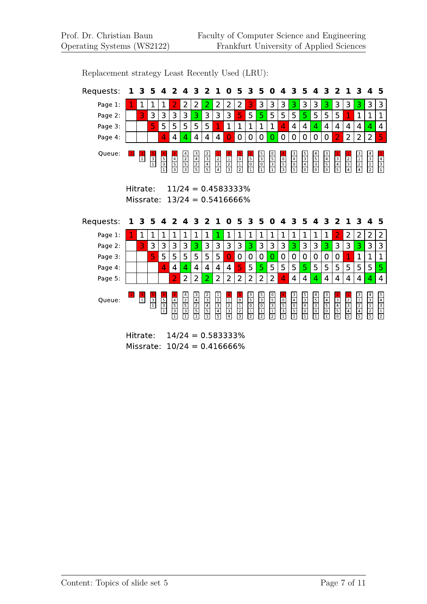| Requests:          | 1                     | 3                | 5             | 4                                                            | 2              | 4              | 3                         | 2                                                         | 1                                                      | 0                                                         | 5                                            | 3                                                    | 5                           | 0                                                         | 4                                                                      | 3                                                                 | 5                                                              | 4                           | 3                                                              | 2                                              | 1                                                              | 3                                                           | 4                           | 5                                            |
|--------------------|-----------------------|------------------|---------------|--------------------------------------------------------------|----------------|----------------|---------------------------|-----------------------------------------------------------|--------------------------------------------------------|-----------------------------------------------------------|----------------------------------------------|------------------------------------------------------|-----------------------------|-----------------------------------------------------------|------------------------------------------------------------------------|-------------------------------------------------------------------|----------------------------------------------------------------|-----------------------------|----------------------------------------------------------------|------------------------------------------------|----------------------------------------------------------------|-------------------------------------------------------------|-----------------------------|----------------------------------------------|
| Page 1:            |                       | $\mathbf 1$      | $\mathbf 1$   | 1                                                            | $\overline{2}$ | $\overline{2}$ | 2                         | 2                                                         | 2                                                      | 2                                                         | 2                                            | 3                                                    | 3                           | 3                                                         | 3                                                                      | 3                                                                 | 3                                                              | 3                           | 3                                                              | 3                                              | 3                                                              | 3                                                           | 3                           | 3                                            |
| Page 2:            |                       | 3                | 3             | 3                                                            | 3              | 3              | 3                         | 3                                                         | 3                                                      | 3                                                         | 5                                            | 5                                                    | 5                           | 5                                                         | 5                                                                      | 5                                                                 | 5                                                              | 5                           | 5                                                              | 5                                              | 1                                                              | $\mathbf 1$                                                 | $\mathbf{1}$                | $\mathbf 1$                                  |
| Page 3:            |                       |                  | 5             | 5                                                            | 5              | 5              | 5                         | 5                                                         | 1                                                      | 1                                                         | 1                                            | 1                                                    | 1                           | $\mathbf 1$                                               | 4                                                                      | 4                                                                 | 4                                                              | 4                           | 4                                                              | 4                                              | 4                                                              | 4                                                           | 4                           | 4                                            |
| Page 4:            |                       |                  |               | 4                                                            | $\overline{4}$ | 4              | $\overline{4}$            | 4                                                         | 4                                                      | $\Omega$                                                  | $\mathbf 0$                                  | 0                                                    | $\overline{0}$              | $\Omega$                                                  | $\overline{0}$                                                         | $\overline{0}$                                                    | 0                                                              | 0                           | 0                                                              | $\overline{2}$                                 | $\overline{2}$                                                 | 2                                                           | $\overline{2}$              | 5                                            |
| Queue:             |                       | $\overline{1}$   | $\frac{3}{1}$ | $\begin{array}{c}\n5 \\ \hline\n3 \\ \hline\n1\n\end{array}$ | $\frac{4}{3}$  | $\frac{4}{3}$  | $\frac{3}{5}$             | $\begin{array}{c c}\n2 & 2 \\ \hline\n5 & 5\n\end{array}$ | $\begin{array}{c c}\n2 \\ \hline\n3 \\ 4\n\end{array}$ | $\begin{array}{c c}\n1 & 1 \\ \hline\n2 & 3\n\end{array}$ | $\begin{array}{c}\n0 \\ 1 \\ 2\n\end{array}$ | $\begin{array}{c}\n5 \\ \hline\n0 \\ 1\n\end{array}$ | $\frac{5}{0}$ $\frac{3}{1}$ | $\begin{array}{c}\n0 \\ 5 \\ \hline\n3 \\ 1\n\end{array}$ | $\begin{array}{c c}\n\hline\n0 \\ \hline\n5 \\ \hline\n3\n\end{array}$ | $\begin{array}{c}\n3 \\ \hline\n4 \\ \hline\n0 \\ 5\n\end{array}$ | $\begin{array}{c c}\n5 \\ \hline\n3 \\ \hline\n0\n\end{array}$ | $\frac{4}{5}$ $\frac{5}{0}$ | $\begin{array}{c c}\n3 \\ \hline\n5 \\ \hline\n0\n\end{array}$ | $\begin{array}{c c}\n3 \\ 4 \\ 5\n\end{array}$ | $\begin{array}{c c}\n2 \\ \hline\n3 \\ \hline\n4\n\end{array}$ | $\begin{array}{c c}\n3 \\ \hline\n1 \\ 2 \\ 4\n\end{array}$ | $\frac{4}{2}$ $\frac{1}{2}$ | $\begin{array}{c} 4 \\ \hline 1 \end{array}$ |
|                    | Hitrate:<br>Missrate: |                  |               |                                                              |                |                |                           |                                                           |                                                        | $11/24 = 0.4583333%$                                      |                                              |                                                      |                             |                                                           |                                                                        |                                                                   |                                                                |                             |                                                                |                                                |                                                                |                                                             |                             |                                              |
| Requests:          | ı                     | 3                | 5             | 4                                                            | 2              | 4              | $13/24 = 0.5416666%$<br>3 | 2                                                         | 1                                                      | 0                                                         | 5                                            | 3                                                    | 5                           | 0                                                         | 4                                                                      | 3                                                                 | 5                                                              | 4                           | 3                                                              | $\mathbf{z}$                                   | $\mathbf 1$                                                    | 3                                                           | 4                           | 5                                            |
|                    |                       |                  | $\mathbf 1$   | $\mathbf 1$                                                  | $\mathbf 1$    | $\mathbf{1}$   |                           |                                                           |                                                        | 1                                                         |                                              |                                                      | 1                           |                                                           |                                                                        | $\mathbf 1$                                                       |                                                                | $\mathbf 1$                 |                                                                |                                                |                                                                |                                                             |                             |                                              |
| Page 1:<br>Page 2: |                       | $\mathbf 1$<br>3 | 3             | 3                                                            | 3              | 3              | 1<br>3                    | $\mathbf{1}$<br>3                                         | 1<br>3                                                 | 3                                                         | $\mathbf{1}$<br>3                            | $\mathbf 1$<br>3                                     | 3                           | $\mathbf 1$<br>3                                          | $\mathbf{1}$<br>3                                                      | 3                                                                 | $\mathbf{1}$<br>3                                              | 3                           | $\mathbf 1$<br>3                                               | $\overline{2}$<br>3                            | $\overline{2}$<br>3                                            | 2<br>3                                                      | $\overline{2}$<br>3         | $\overline{2}$<br>3                          |
| Page 3:            |                       |                  | 5             | 5                                                            | 5              | 5              | 5                         | 5                                                         | 5                                                      | 0                                                         | 0                                            | 0                                                    | 0                           | 0                                                         | 0                                                                      | 0                                                                 | 0                                                              | 0                           | 0                                                              | 0                                              | 1                                                              | 1                                                           | 1                           | 1                                            |
| Page 4:            |                       |                  |               | 4                                                            | 4              | 4              | 4                         | 4                                                         | 4                                                      | 4                                                         | 5                                            | 5                                                    | 5                           | 5                                                         | 5                                                                      | 5                                                                 | 5                                                              | 5                           | 5                                                              | 5                                              | 5                                                              | 5                                                           | 5                           | 5                                            |
| Page 5:            |                       |                  |               |                                                              | $\overline{2}$ | $\overline{2}$ | $\overline{2}$            | $\overline{2}$                                            | $\overline{2}$                                         | 2                                                         | 2                                            | 2                                                    | 2                           | $\overline{2}$                                            | 4                                                                      | $\overline{4}$                                                    | 4                                                              | 4                           | 4                                                              | 4                                              | 4                                                              | 4                                                           | 4                           | 4                                            |

Replacement strategy Least Recently Used (LRU):

Hitrate:  $14/24 = 0.583333\%$ Missrate:  $10/24 = 0.416666%$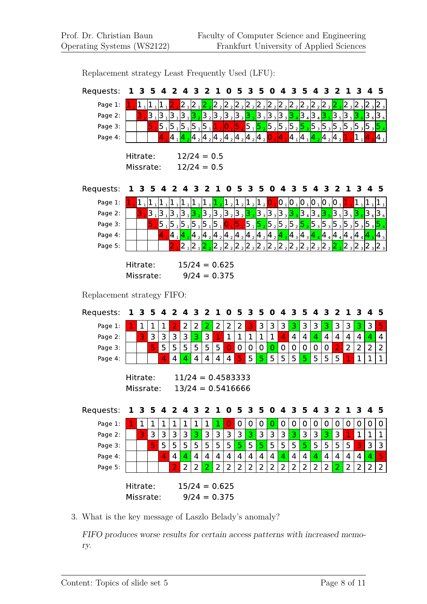| Requests:                  | ı | З         | 5  | 4          | 2                                                                                                                                 | 4              | З                            |                | ı              | 0                                                                                   | 5              | З              | 5              | O                                                                                                                                                                                                                                             | 4              |                                                                                                                                                             | 5              | 4              | 3                | 2               | ı                             | З              | 4                               | 5                             |
|----------------------------|---|-----------|----|------------|-----------------------------------------------------------------------------------------------------------------------------------|----------------|------------------------------|----------------|----------------|-------------------------------------------------------------------------------------|----------------|----------------|----------------|-----------------------------------------------------------------------------------------------------------------------------------------------------------------------------------------------------------------------------------------------|----------------|-------------------------------------------------------------------------------------------------------------------------------------------------------------|----------------|----------------|------------------|-----------------|-------------------------------|----------------|---------------------------------|-------------------------------|
| Page 1:                    |   |           |    | 1,  1,  1, |                                                                                                                                   |                | $21$  2 <sub>1</sub>         | 2 $\rm _2$     |                |                                                                                     |                |                |                | $2_2$ 2 $2_2$ 2 $2_2$ 2 $2_2$ 2 $2_2$ 2 $2_2$ 2 $2_2$ 2 $2_2$ 2 $2_2$                                                                                                                                                                         |                |                                                                                                                                                             |                |                |                  |                 |                               |                | $2_3$ $2_3$ $2_3$ $2_3$         |                               |
| Page 2:                    |   | 3         |    |            | $3_1$ $3_1$ $3_1$ $3_1$ $3_2$                                                                                                     |                |                              |                |                |                                                                                     |                |                |                | $3_{2}$ $3_{2}$ $3_{2}$ $3_{2}$ $3_{2}$ $3_{3}$ $3_{3}$ $3_{3}$ $3_{3}$ $3_{3}$ $3_{4}$ $3_{4}$ $3_{4}$ $3_{5}$                                                                                                                               |                |                                                                                                                                                             |                |                |                  | $35$ 3 $5$      |                               |                | $36$ 3 $6$                      |                               |
| Page 3:                    |   |           |    |            | $5_1$ $5_1$ $5_1$ $5_1$ $5_1$ $5_1$                                                                                               |                |                              |                | 1              | 0                                                                                   | 5              | $5_1$ $5_2$    |                |                                                                                                                                                                                                                                               |                |                                                                                                                                                             |                |                |                  |                 |                               |                |                                 |                               |
| Page 4:                    |   |           |    |            |                                                                                                                                   |                |                              |                |                | $ 4_1 $ $ 4_2 $ $ 4_2 $ $ 4_2 $ $ 4_2 $ $ 4_2 $ $ 4_2 $ $ 4_2 $                     |                |                |                | 0                                                                                                                                                                                                                                             | 4              | $4 \frac{1}{4}$ $4 \frac{1}{2}$                                                                                                                             |                |                |                  | $ 4\>_2 4\>_2 $ |                               | 1              |                                 | $\mathbf{4}_{1}$              |
|                            |   |           |    |            |                                                                                                                                   |                |                              |                |                |                                                                                     |                |                |                |                                                                                                                                                                                                                                               |                |                                                                                                                                                             |                |                |                  |                 |                               |                |                                 |                               |
|                            |   | Hitrate:  |    |            |                                                                                                                                   |                |                              |                | $12/24 = 0.5$  |                                                                                     |                |                |                |                                                                                                                                                                                                                                               |                |                                                                                                                                                             |                |                |                  |                 |                               |                |                                 |                               |
|                            |   | Missrate: |    |            |                                                                                                                                   |                |                              |                | $12/24 = 0.5$  |                                                                                     |                |                |                |                                                                                                                                                                                                                                               |                |                                                                                                                                                             |                |                |                  |                 |                               |                |                                 |                               |
| Requests:                  |   | З         | 5  | 4          | 2                                                                                                                                 | 4              | З                            | 2              |                | U                                                                                   | 5              | з              | 5              | O                                                                                                                                                                                                                                             | 4              | 3                                                                                                                                                           | 5              | 4              | 3                | 2               | ı                             | 3              | 4                               | 5                             |
| Page 1:                    |   |           |    |            | $\begin{bmatrix} 1 \end{bmatrix} \begin{bmatrix} 1 \end{bmatrix} \begin{bmatrix} 1 \end{bmatrix} \begin{bmatrix} 1 \end{bmatrix}$ |                | $1_1$ $1_1$ $1_1$            |                |                | $\begin{vmatrix} 1 & 2 & 1 \end{vmatrix}$ $\begin{vmatrix} 1 & 2 & 1 \end{vmatrix}$ |                |                |                | $\mathbf{0}$ ,                                                                                                                                                                                                                                |                | $\begin{bmatrix} 0 \\ 1 \end{bmatrix}$ $\begin{bmatrix} 0 \\ 1 \end{bmatrix}$ $\begin{bmatrix} 0 \\ 1 \end{bmatrix}$ $\begin{bmatrix} 0 \\ 1 \end{bmatrix}$ |                |                |                  |                 |                               | 1              | Į1                              | $1^{1}$                       |
| Page 2:                    |   | 3         |    |            |                                                                                                                                   |                |                              |                |                |                                                                                     |                |                |                |                                                                                                                                                                                                                                               |                |                                                                                                                                                             |                |                |                  |                 |                               |                | 3636                            |                               |
| Page 3:                    |   |           | 5. |            | $\overline{5}_1$ 5 $_1$ 5 $_1$ 5 $_1$ 5 $_1$ 5 $_1$ 0 $_1$                                                                        |                |                              |                |                |                                                                                     |                |                |                | <mark>5 <sub>1</sub> 5 <sub>2</sub> 5 <sub>2</sub> 5 <sub>2</sub> 5 <sub>2</sub> 5 <sub>3</sub> 5 <sub>3</sub> 5 <sub>3</sub> 5 <sub>3</sub> 5 <sub>3</sub> 5 <sub>3</sub> 5 <sub>3</sub> 5 <sub>3</sub> 5 <mark>5 <sub>4</sub></mark></mark> |                |                                                                                                                                                             |                |                |                  |                 |                               |                |                                 |                               |
| Page 4:                    |   |           |    | 4          | $\begin{array}{ c c }\n\hline\n4 & 4 \\ \hline\n\end{array}$                                                                      |                |                              |                |                |                                                                                     |                |                |                | $ 4_2 4_2 4_2 4_2 4_2 4_2 4_2 4_2 4_2 4_3 4_3 4_3 4_4$                                                                                                                                                                                        |                |                                                                                                                                                             |                |                |                  |                 | $4_4$ 4 $4_4$ 4 $4_4$ 4 $4_4$ |                |                                 | $\frac{1}{5}$  4 <sub>5</sub> |
| Page 5:                    |   |           |    |            |                                                                                                                                   |                | $2\frac{1}{2}$ $\frac{2}{2}$ |                |                | $2_{2}$ $2_{2}$                                                                     |                | $2\,2$ 2 $\,$  |                | $ 2 \t{2} 2 \t{2} 2 \t{2} 2 \t{2} $                                                                                                                                                                                                           |                |                                                                                                                                                             |                | $2\frac{2}{2}$ | $ 2\frac{1}{2} $ |                 |                               |                | $2_{3}$ $2_{3}$ $2_{3}$ $2_{3}$ |                               |
|                            |   |           |    |            |                                                                                                                                   |                |                              |                |                |                                                                                     |                |                |                |                                                                                                                                                                                                                                               |                |                                                                                                                                                             |                |                |                  |                 |                               |                |                                 |                               |
|                            |   | Hitrate:  |    |            |                                                                                                                                   |                |                              |                |                | $15/24 = 0.625$                                                                     |                |                |                |                                                                                                                                                                                                                                               |                |                                                                                                                                                             |                |                |                  |                 |                               |                |                                 |                               |
|                            |   | Missrate: |    |            |                                                                                                                                   |                |                              |                |                | $9/24 = 0.375$                                                                      |                |                |                |                                                                                                                                                                                                                                               |                |                                                                                                                                                             |                |                |                  |                 |                               |                |                                 |                               |
| Replacement strategy FIFO: |   |           |    |            |                                                                                                                                   |                |                              |                |                |                                                                                     |                |                |                |                                                                                                                                                                                                                                               |                |                                                                                                                                                             |                |                |                  |                 |                               |                |                                 |                               |
| Requests:                  |   | З         | 5  | 4          | 2                                                                                                                                 | 4              | 3                            | $\mathbf{2}$   | 1              | $\mathbf 0$                                                                         | 5              | 3              | 5              | 0                                                                                                                                                                                                                                             | 4              | 3                                                                                                                                                           | 5              | 4              | 3                | 2               | 1                             | 3              | 4                               | 5                             |
| Page 1:                    |   | 1         | 1  | 1          | $\overline{2}$                                                                                                                    | 2              | $\overline{2}$               | 2              | 2              | 2                                                                                   | 2              | 3              | 3              | 3                                                                                                                                                                                                                                             | 3              | 3                                                                                                                                                           | 3              | 3              | 3                | 3               | 3                             | 3              | 3                               | 5                             |
| Page 2:                    |   | 3         | 3  | 3          | $\overline{3}$                                                                                                                    | 3              | 3                            | $\mathbf{3}$   | $\mathbf{1}$   | $\mathbf{1}$                                                                        | $\mathbf 1$    | $\mathbf{1}$   | $\mathbf{1}$   | $\mathbf 1$                                                                                                                                                                                                                                   | 4              | $\overline{4}$                                                                                                                                              | $\overline{4}$ | 4              | $\overline{4}$   | $\overline{4}$  | $\overline{4}$                | $\overline{4}$ | 4                               | 4                             |
| Page 3:                    |   |           | 5  | 5          | 5                                                                                                                                 | 5              | 5                            | 5              | 5              | $\overline{0}$                                                                      | $\mathbf 0$    | 0              | $\mathbf 0$    | $\overline{0}$                                                                                                                                                                                                                                | $\mathbf 0$    | $\mathbf 0$                                                                                                                                                 | $\mathbf 0$    | $\mathbf 0$    | $\mathbf 0$      | $\overline{2}$  | $\overline{2}$                | $\overline{2}$ | $\overline{2}$                  | $\overline{2}$                |
| Page 4:                    |   |           |    | 4          | 4                                                                                                                                 | 4              | $\overline{4}$               | $\overline{4}$ | $\overline{4}$ | $\overline{\mathbf{4}}$                                                             | 5              | 5              | 5              | 5                                                                                                                                                                                                                                             | 5              | 5                                                                                                                                                           | 5              | 5              | 5                | 5               |                               | $\mathbf 1$    | $\overline{1}$                  | $\mathbf{1}$                  |
|                            |   | Hitrate:  |    |            |                                                                                                                                   |                |                              |                |                | $11/24 = 0.4583333$                                                                 |                |                |                |                                                                                                                                                                                                                                               |                |                                                                                                                                                             |                |                |                  |                 |                               |                |                                 |                               |
|                            |   | Missrate: |    |            |                                                                                                                                   |                |                              |                |                | $13/24 = 0.5416666$                                                                 |                |                |                |                                                                                                                                                                                                                                               |                |                                                                                                                                                             |                |                |                  |                 |                               |                |                                 |                               |
|                            |   |           |    |            |                                                                                                                                   |                |                              |                |                |                                                                                     |                |                |                |                                                                                                                                                                                                                                               |                |                                                                                                                                                             |                |                |                  |                 |                               |                |                                 |                               |
| Requests:                  |   | د         | э  | 4          | ∠                                                                                                                                 | 4              | з                            | ∠              | Т              | U                                                                                   | э              | з              | э              | υ                                                                                                                                                                                                                                             | 4              | з                                                                                                                                                           | э              | 4              | з                | ∠               | Ŧ                             | ು              | 4                               | э                             |
| Page 1:                    |   | 1         | 1  | 1          | 1                                                                                                                                 | 1              | 1                            | $\mathbf 1$    | 1              | 0                                                                                   | $\overline{0}$ | 0              | 0              | 0                                                                                                                                                                                                                                             | 0              | 0                                                                                                                                                           | 0              | 0              | 0                | 0               | $\mathbf 0$                   | 0              | 0                               | 0                             |
| Page 2:                    |   | 3         | 3  | 3          | $\overline{3}$                                                                                                                    | $\overline{3}$ | 3                            | $\overline{3}$ | $\overline{3}$ | 3                                                                                   | 3              | 3              | $\mathbf{3}$   | 3                                                                                                                                                                                                                                             | 3              | 3                                                                                                                                                           | 3              | 3              | 3                | 3               | $\mathbf{1}$                  | $\mathbf{1}$   | $\mathbf{1}$                    | $\mathbf{1}$                  |
| Page 3:                    |   |           | 5  | 5          | 5                                                                                                                                 | 5              | 5                            | 5 <sub>1</sub> | 5              | 5                                                                                   | 5              | 5              | 5              | 5                                                                                                                                                                                                                                             | 5              | 5                                                                                                                                                           | 5              | 5              | 5                | 5               | 5                             | 3              | 3                               | $\mathbf{3}$                  |
| Page 4:                    |   |           |    | 4          | $\overline{4}$                                                                                                                    | $\overline{4}$ | $\overline{4}$               | $\overline{4}$ | $\overline{4}$ | $\overline{4}$                                                                      | $\overline{4}$ | $\overline{4}$ | $\overline{4}$ | $\overline{4}$                                                                                                                                                                                                                                | $\overline{4}$ | $\overline{4}$                                                                                                                                              | $\overline{4}$ | $\overline{4}$ | 4                | $\overline{4}$  | $\overline{4}$                | $\overline{4}$ | $\overline{4}$                  | $\overline{\mathbf{5}}$       |
| Page 5:                    |   |           |    |            | $\overline{2}$                                                                                                                    | $\overline{2}$ | $\overline{2}$               | 2              | $\overline{2}$ | $\overline{2}$                                                                      | $\overline{2}$ | $\overline{2}$ | $\overline{2}$ | $\overline{2}$                                                                                                                                                                                                                                | $\overline{2}$ | $\overline{2}$                                                                                                                                              | $\overline{2}$ | $\overline{2}$ | $\overline{2}$   | 2               | $\overline{2}$                | $\overline{2}$ | $\overline{2}$                  | $\overline{2}$                |
|                            |   |           |    |            |                                                                                                                                   |                |                              |                |                |                                                                                     |                |                |                |                                                                                                                                                                                                                                               |                |                                                                                                                                                             |                |                |                  |                 |                               |                |                                 |                               |
|                            |   | Hitrate:  |    |            |                                                                                                                                   |                |                              |                |                | $15/24 = 0.625$                                                                     |                |                |                |                                                                                                                                                                                                                                               |                |                                                                                                                                                             |                |                |                  |                 |                               |                |                                 |                               |
|                            |   | Missrate: |    |            |                                                                                                                                   |                |                              |                |                | $9/24 = 0.375$                                                                      |                |                |                |                                                                                                                                                                                                                                               |                |                                                                                                                                                             |                |                |                  |                 |                               |                |                                 |                               |

Replacement strategy Least Frequently Used (LFU):

3. What is the key message of Laszlo Belady's anomaly?

FIFO produces worse results for certain access patterns with increased memory.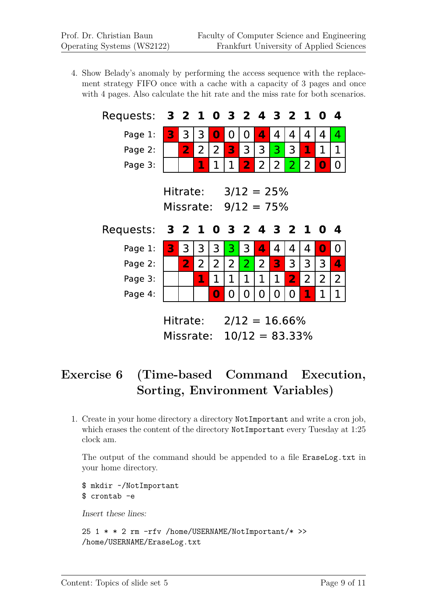4. Show Belady's anomaly by performing the access sequence with the replacement strategy FIFO once with a cache with a capacity of 3 pages and once with 4 pages. Also calculate the hit rate and the miss rate for both scenarios.

| Requests:          | 3 2 1 0 3 2 4 3 2 1 0              |                              |                     |          |                     |                                  |                     |        |                |                |                | -4             |
|--------------------|------------------------------------|------------------------------|---------------------|----------|---------------------|----------------------------------|---------------------|--------|----------------|----------------|----------------|----------------|
| Page 1:            | 3                                  | 3                            | 3                   | $\bf{0}$ | 0                   | 0                                | 4                   | 4      | 4              | 4              | 4              | $\overline{4}$ |
| Page 2:            |                                    | $\overline{2}$               | 2                   | 2        | 3                   | 3                                | 3                   | 3      | 3              | 1              | 1              | 1              |
| Page 3:            |                                    |                              | 1                   | 1        | 1                   | $\overline{2}$                   | $\overline{2}$      | 2      | $\overline{2}$ | 2              | 0              | 0              |
|                    | Hitrate:<br>Missrate: $9/12 = 75%$ |                              |                     |          | $3/12 = 25%$        |                                  |                     |        |                |                |                |                |
|                    |                                    |                              |                     |          |                     |                                  |                     |        |                |                |                | 4              |
| Requests:          | 3 2 1 0 3 2 4 3 2 1 0              |                              |                     |          |                     |                                  |                     |        |                |                |                |                |
| Page 1:<br>Page 2: | 3                                  | 3<br>$\overline{\mathbf{2}}$ | 3<br>$\overline{2}$ | 3<br>2   | 3<br>$\overline{2}$ | $\overline{3}$<br>$\overline{2}$ | 4<br>$\overline{2}$ | 4<br>3 | 4<br>3         | 4<br>3         | $\bf{0}$<br>3  | 0<br>4         |
| Page 3:            |                                    |                              | 1                   | 1        | 1                   | 1                                | 1                   | 1      | $\overline{2}$ | $\overline{2}$ | $\overline{2}$ | $\overline{2}$ |
| Page 4:            |                                    |                              |                     | $\bf{0}$ | 0                   | 0                                | 0                   | 0      | 0              | 1              | 1              | 1              |

# **Exercise 6 (Time-based Command Execution, Sorting, Environment Variables)**

1. Create in your home directory a directory NotImportant and write a cron job, which erases the content of the directory NotImportant every Tuesday at 1:25 clock am.

The output of the command should be appended to a file EraseLog.txt in your home directory.

```
$ mkdir ~/NotImportant
$ crontab -e
```
Insert these lines:

```
25 1 * * 2 rm -rfv /home/USERNAME/NotImportant/* >>
/home/USERNAME/EraseLog.txt
```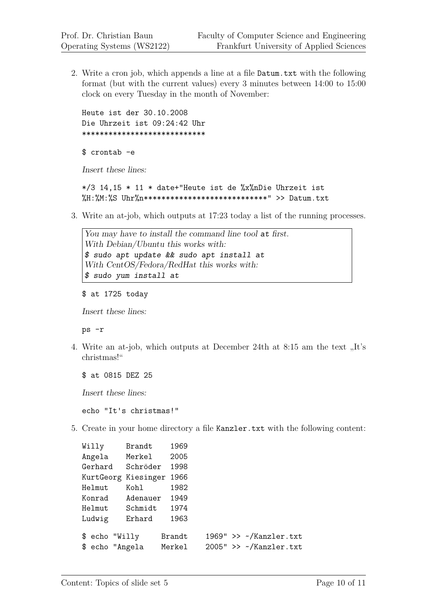2. Write a cron job, which appends a line at a file Datum.txt with the following format (but with the current values) every 3 minutes between 14:00 to 15:00 clock on every Tuesday in the month of November:

Heute ist der 30.10.2008 Die Uhrzeit ist 09:24:42 Uhr \*\*\*\*\*\*\*\*\*\*\*\*\*\*\*\*\*\*\*\*\*\*\*\*\*\*\*\*

\$ crontab -e

Insert these lines:

 $*/3$  14,15  $*$  11  $*$  date+"Heute ist de %x%nDie Uhrzeit ist  $M: M: XS$  Uhr $M: XN$  with  $N$  with  $N$  with  $N$  with  $N$  and  $N$ 

3. Write an at-job, which outputs at 17:23 today a list of the running processes.

You may have to install the command line tool at first. With Debian/Ubuntu this works with: \$ sudo apt update && sudo apt install at With CentOS/Fedora/RedHat this works with: \$ sudo yum install at

\$ at 1725 today

Insert these lines:

ps -r

4. Write an at-job, which outputs at December 24th at 8:15 am the text  $\mathbf{F}$ . christmas!"

\$ at 0815 DEZ 25

Insert these lines:

echo "It's christmas!"

5. Create in your home directory a file Kanzler.txt with the following content:

| Willy          | Brandt              | 1969   |  |                                |
|----------------|---------------------|--------|--|--------------------------------|
| Angela         | Merkel              | 2005   |  |                                |
| Gerhard        | Schröder            | 1998   |  |                                |
|                | KurtGeorg Kiesinger | 1966   |  |                                |
| Helmut         | Kohl                | 1982   |  |                                |
| Konrad         | Adenauer            | 1949   |  |                                |
| Helmut         | Schmidt             | 1974   |  |                                |
| Ludwig         | Erhard              | 1963   |  |                                |
| \$ echo "Willy |                     | Brandt |  | $1969"$ >> $\sim$ /Kanzler.txt |
|                | \$ echo "Angela     | Merkel |  | $2005"$ >> $\sim$ /Kanzler.txt |